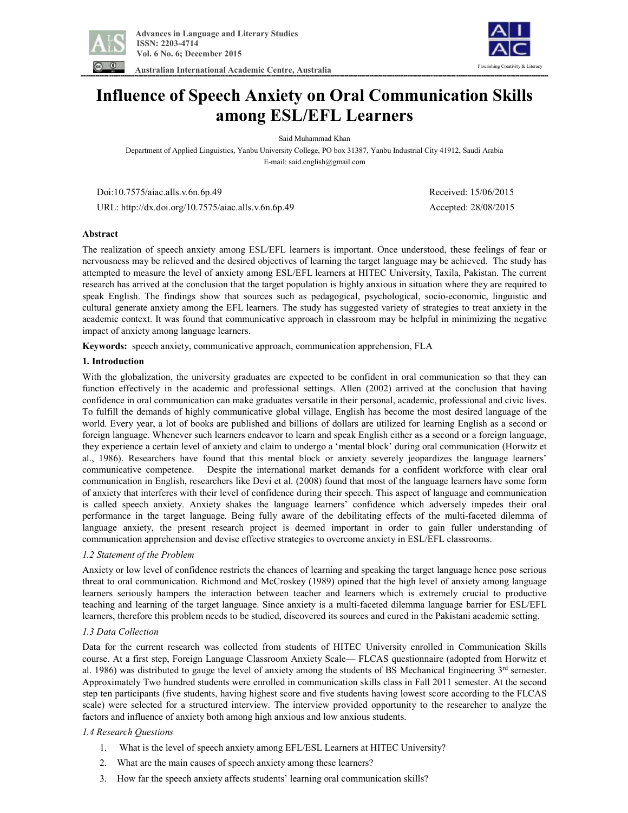

Flourishing Creativity & Literacy

 **Australian International Academic Centre, Australia** 

# **Influence of Speech Anxiety on Oral Communication Skills among ESL/EFL Learners**

Said Muhammad Khan

Department of Applied Linguistics, Yanbu University College, PO box 31387, Yanbu Industrial City 41912, Saudi Arabia E-mail: said.english@gmail.com

Doi:10.7575/aiac.alls.v.6n.6p.49 Received: 15/06/2015

URL: http://dx.doi.org/10.7575/aiac.alls.v.6n.6p.49 Accepted: 28/08/2015

# **Abstract**

The realization of speech anxiety among ESL/EFL learners is important. Once understood, these feelings of fear or nervousness may be relieved and the desired objectives of learning the target language may be achieved. The study has attempted to measure the level of anxiety among ESL/EFL learners at HITEC University, Taxila, Pakistan. The current research has arrived at the conclusion that the target population is highly anxious in situation where they are required to speak English. The findings show that sources such as pedagogical, psychological, socio-economic, linguistic and cultural generate anxiety among the EFL learners. The study has suggested variety of strategies to treat anxiety in the academic context. It was found that communicative approach in classroom may be helpful in minimizing the negative impact of anxiety among language learners.

**Keywords:** speech anxiety, communicative approach, communication apprehension, FLA

## **1. Introduction**

With the globalization, the university graduates are expected to be confident in oral communication so that they can function effectively in the academic and professional settings. Allen (2002) arrived at the conclusion that having confidence in oral communication can make graduates versatile in their personal, academic, professional and civic lives. To fulfill the demands of highly communicative global village, English has become the most desired language of the world. Every year, a lot of books are published and billions of dollars are utilized for learning English as a second or foreign language. Whenever such learners endeavor to learn and speak English either as a second or a foreign language, they experience a certain level of anxiety and claim to undergo a 'mental block' during oral communication (Horwitz et al., 1986). Researchers have found that this mental block or anxiety severely jeopardizes the language learners' communicative competence. Despite the international market demands for a confident workforce with clear oral communication in English, researchers like Devi et al. (2008) found that most of the language learners have some form of anxiety that interferes with their level of confidence during their speech. This aspect of language and communication is called speech anxiety. Anxiety shakes the language learners' confidence which adversely impedes their oral performance in the target language. Being fully aware of the debilitating effects of the multi-faceted dilemma of language anxiety, the present research project is deemed important in order to gain fuller understanding of communication apprehension and devise effective strategies to overcome anxiety in ESL/EFL classrooms.

## *1.2 Statement of the Problem*

Anxiety or low level of confidence restricts the chances of learning and speaking the target language hence pose serious threat to oral communication. Richmond and McCroskey (1989) opined that the high level of anxiety among language learners seriously hampers the interaction between teacher and learners which is extremely crucial to productive teaching and learning of the target language. Since anxiety is a multi-faceted dilemma language barrier for ESL/EFL learners, therefore this problem needs to be studied, discovered its sources and cured in the Pakistani academic setting.

# *1.3 Data Collection*

Data for the current research was collected from students of HITEC University enrolled in Communication Skills course. At a first step, Foreign Language Classroom Anxiety Scale— FLCAS questionnaire (adopted from Horwitz et al. 1986) was distributed to gauge the level of anxiety among the students of BS Mechanical Engineering  $3<sup>rd</sup>$  semester. Approximately Two hundred students were enrolled in communication skills class in Fall 2011 semester. At the second step ten participants (five students, having highest score and five students having lowest score according to the FLCAS scale) were selected for a structured interview. The interview provided opportunity to the researcher to analyze the factors and influence of anxiety both among high anxious and low anxious students.

# *1.4 Research Questions*

- 1. What is the level of speech anxiety among EFL/ESL Learners at HITEC University?
- 2. What are the main causes of speech anxiety among these learners?
- 3. How far the speech anxiety affects students' learning oral communication skills?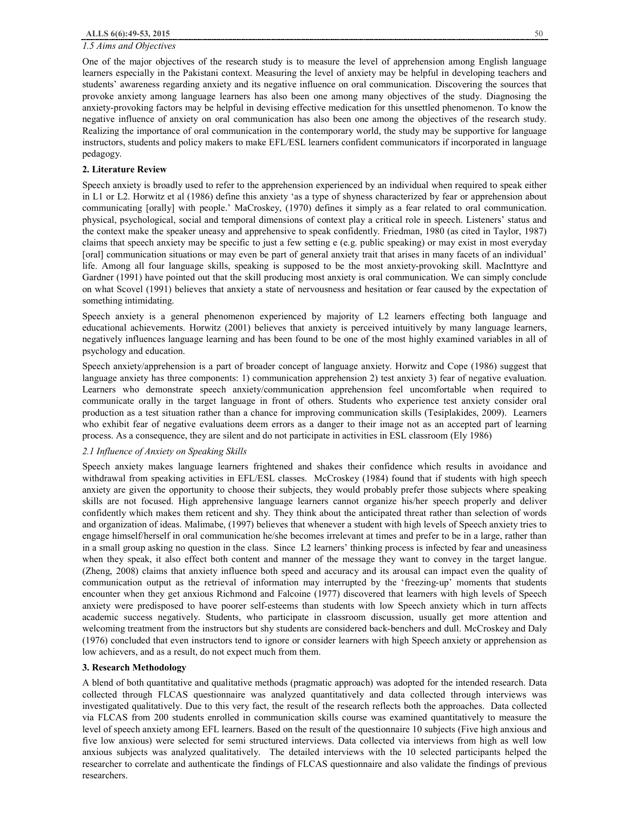## *1.5 Aims and Objectives*

One of the major objectives of the research study is to measure the level of apprehension among English language learners especially in the Pakistani context. Measuring the level of anxiety may be helpful in developing teachers and students' awareness regarding anxiety and its negative influence on oral communication. Discovering the sources that provoke anxiety among language learners has also been one among many objectives of the study. Diagnosing the anxiety-provoking factors may be helpful in devising effective medication for this unsettled phenomenon. To know the negative influence of anxiety on oral communication has also been one among the objectives of the research study. Realizing the importance of oral communication in the contemporary world, the study may be supportive for language instructors, students and policy makers to make EFL/ESL learners confident communicators if incorporated in language pedagogy.

## **2. Literature Review**

Speech anxiety is broadly used to refer to the apprehension experienced by an individual when required to speak either in L1 or L2. Horwitz et al (1986) define this anxiety 'as a type of shyness characterized by fear or apprehension about communicating [orally] with people.' MaCroskey, (1970) defines it simply as a fear related to oral communication. physical, psychological, social and temporal dimensions of context play a critical role in speech. Listeners' status and the context make the speaker uneasy and apprehensive to speak confidently. Friedman, 1980 (as cited in Taylor, 1987) claims that speech anxiety may be specific to just a few setting e (e.g. public speaking) or may exist in most everyday [oral] communication situations or may even be part of general anxiety trait that arises in many facets of an individual' life. Among all four language skills, speaking is supposed to be the most anxiety-provoking skill. MacInttyre and Gardner (1991) have pointed out that the skill producing most anxiety is oral communication. We can simply conclude on what Scovel (1991) believes that anxiety a state of nervousness and hesitation or fear caused by the expectation of something intimidating.

Speech anxiety is a general phenomenon experienced by majority of L2 learners effecting both language and educational achievements. Horwitz (2001) believes that anxiety is perceived intuitively by many language learners, negatively influences language learning and has been found to be one of the most highly examined variables in all of psychology and education.

Speech anxiety/apprehension is a part of broader concept of language anxiety. Horwitz and Cope (1986) suggest that language anxiety has three components: 1) communication apprehension 2) test anxiety 3) fear of negative evaluation. Learners who demonstrate speech anxiety/communication apprehension feel uncomfortable when required to communicate orally in the target language in front of others. Students who experience test anxiety consider oral production as a test situation rather than a chance for improving communication skills (Tesiplakides, 2009). Learners who exhibit fear of negative evaluations deem errors as a danger to their image not as an accepted part of learning process. As a consequence, they are silent and do not participate in activities in ESL classroom (Ely 1986)

## *2.1 Influence of Anxiety on Speaking Skills*

Speech anxiety makes language learners frightened and shakes their confidence which results in avoidance and withdrawal from speaking activities in EFL/ESL classes. McCroskey (1984) found that if students with high speech anxiety are given the opportunity to choose their subjects, they would probably prefer those subjects where speaking skills are not focused. High apprehensive language learners cannot organize his/her speech properly and deliver confidently which makes them reticent and shy. They think about the anticipated threat rather than selection of words and organization of ideas. Malimabe, (1997) believes that whenever a student with high levels of Speech anxiety tries to engage himself/herself in oral communication he/she becomes irrelevant at times and prefer to be in a large, rather than in a small group asking no question in the class. Since L2 learners' thinking process is infected by fear and uneasiness when they speak, it also effect both content and manner of the message they want to convey in the target langue. (Zheng, 2008) claims that anxiety influence both speed and accuracy and its arousal can impact even the quality of communication output as the retrieval of information may interrupted by the 'freezing-up' moments that students encounter when they get anxious Richmond and Falcoine (1977) discovered that learners with high levels of Speech anxiety were predisposed to have poorer self-esteems than students with low Speech anxiety which in turn affects academic success negatively. Students, who participate in classroom discussion, usually get more attention and welcoming treatment from the instructors but shy students are considered back-benchers and dull. McCroskey and Daly (1976) concluded that even instructors tend to ignore or consider learners with high Speech anxiety or apprehension as low achievers, and as a result, do not expect much from them.

## **3. Research Methodology**

A blend of both quantitative and qualitative methods (pragmatic approach) was adopted for the intended research. Data collected through FLCAS questionnaire was analyzed quantitatively and data collected through interviews was investigated qualitatively. Due to this very fact, the result of the research reflects both the approaches. Data collected via FLCAS from 200 students enrolled in communication skills course was examined quantitatively to measure the level of speech anxiety among EFL learners. Based on the result of the questionnaire 10 subjects (Five high anxious and five low anxious) were selected for semi structured interviews. Data collected via interviews from high as well low anxious subjects was analyzed qualitatively. The detailed interviews with the 10 selected participants helped the researcher to correlate and authenticate the findings of FLCAS questionnaire and also validate the findings of previous researchers.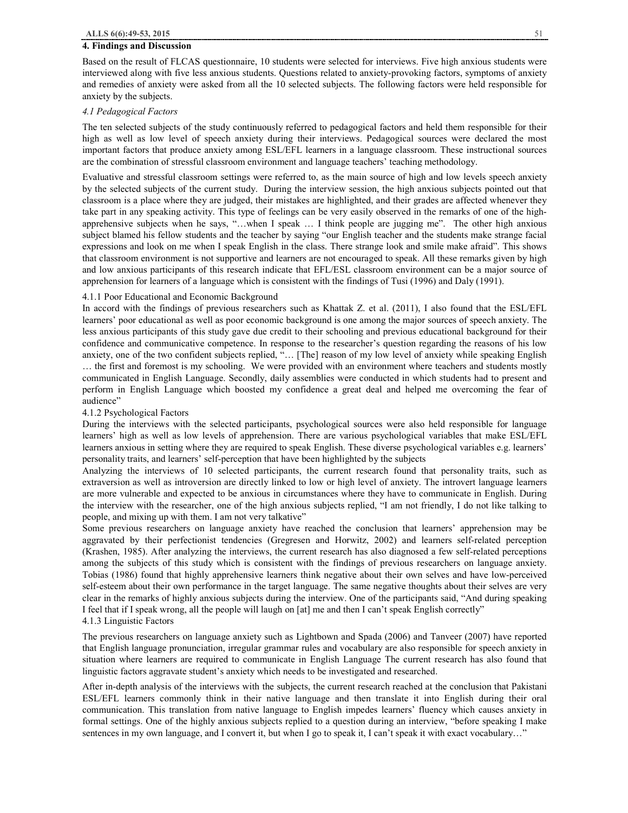## **4. Findings and Discussion**

Based on the result of FLCAS questionnaire, 10 students were selected for interviews. Five high anxious students were interviewed along with five less anxious students. Questions related to anxiety-provoking factors, symptoms of anxiety and remedies of anxiety were asked from all the 10 selected subjects. The following factors were held responsible for anxiety by the subjects.

#### *4.1 Pedagogical Factors*

The ten selected subjects of the study continuously referred to pedagogical factors and held them responsible for their high as well as low level of speech anxiety during their interviews. Pedagogical sources were declared the most important factors that produce anxiety among ESL/EFL learners in a language classroom. These instructional sources are the combination of stressful classroom environment and language teachers' teaching methodology.

Evaluative and stressful classroom settings were referred to, as the main source of high and low levels speech anxiety by the selected subjects of the current study. During the interview session, the high anxious subjects pointed out that classroom is a place where they are judged, their mistakes are highlighted, and their grades are affected whenever they take part in any speaking activity. This type of feelings can be very easily observed in the remarks of one of the highapprehensive subjects when he says, "…when I speak … I think people are jugging me". The other high anxious subject blamed his fellow students and the teacher by saying "our English teacher and the students make strange facial expressions and look on me when I speak English in the class. There strange look and smile make afraid". This shows that classroom environment is not supportive and learners are not encouraged to speak. All these remarks given by high and low anxious participants of this research indicate that EFL/ESL classroom environment can be a major source of apprehension for learners of a language which is consistent with the findings of Tusi (1996) and Daly (1991).

#### 4.1.1 Poor Educational and Economic Background

In accord with the findings of previous researchers such as Khattak Z. et al. (2011), I also found that the ESL/EFL learners' poor educational as well as poor economic background is one among the major sources of speech anxiety. The less anxious participants of this study gave due credit to their schooling and previous educational background for their confidence and communicative competence. In response to the researcher's question regarding the reasons of his low anxiety, one of the two confident subjects replied, "… [The] reason of my low level of anxiety while speaking English … the first and foremost is my schooling. We were provided with an environment where teachers and students mostly communicated in English Language. Secondly, daily assemblies were conducted in which students had to present and perform in English Language which boosted my confidence a great deal and helped me overcoming the fear of audience"

#### 4.1.2 Psychological Factors

During the interviews with the selected participants, psychological sources were also held responsible for language learners' high as well as low levels of apprehension. There are various psychological variables that make ESL/EFL learners anxious in setting where they are required to speak English. These diverse psychological variables e.g. learners' personality traits, and learners' self-perception that have been highlighted by the subjects

Analyzing the interviews of 10 selected participants, the current research found that personality traits, such as extraversion as well as introversion are directly linked to low or high level of anxiety. The introvert language learners are more vulnerable and expected to be anxious in circumstances where they have to communicate in English. During the interview with the researcher, one of the high anxious subjects replied, "I am not friendly, I do not like talking to people, and mixing up with them. I am not very talkative"

Some previous researchers on language anxiety have reached the conclusion that learners' apprehension may be aggravated by their perfectionist tendencies (Gregresen and Horwitz, 2002) and learners self-related perception (Krashen, 1985). After analyzing the interviews, the current research has also diagnosed a few self-related perceptions among the subjects of this study which is consistent with the findings of previous researchers on language anxiety. Tobias (1986) found that highly apprehensive learners think negative about their own selves and have low-perceived self-esteem about their own performance in the target language. The same negative thoughts about their selves are very clear in the remarks of highly anxious subjects during the interview. One of the participants said, "And during speaking I feel that if I speak wrong, all the people will laugh on [at] me and then I can't speak English correctly" 4.1.3 Linguistic Factors

# The previous researchers on language anxiety such as Lightbown and Spada (2006) and Tanveer (2007) have reported that English language pronunciation, irregular grammar rules and vocabulary are also responsible for speech anxiety in situation where learners are required to communicate in English Language The current research has also found that linguistic factors aggravate student's anxiety which needs to be investigated and researched.

After in-depth analysis of the interviews with the subjects, the current research reached at the conclusion that Pakistani ESL/EFL learners commonly think in their native language and then translate it into English during their oral communication. This translation from native language to English impedes learners' fluency which causes anxiety in formal settings. One of the highly anxious subjects replied to a question during an interview, "before speaking I make sentences in my own language, and I convert it, but when I go to speak it, I can't speak it with exact vocabulary…"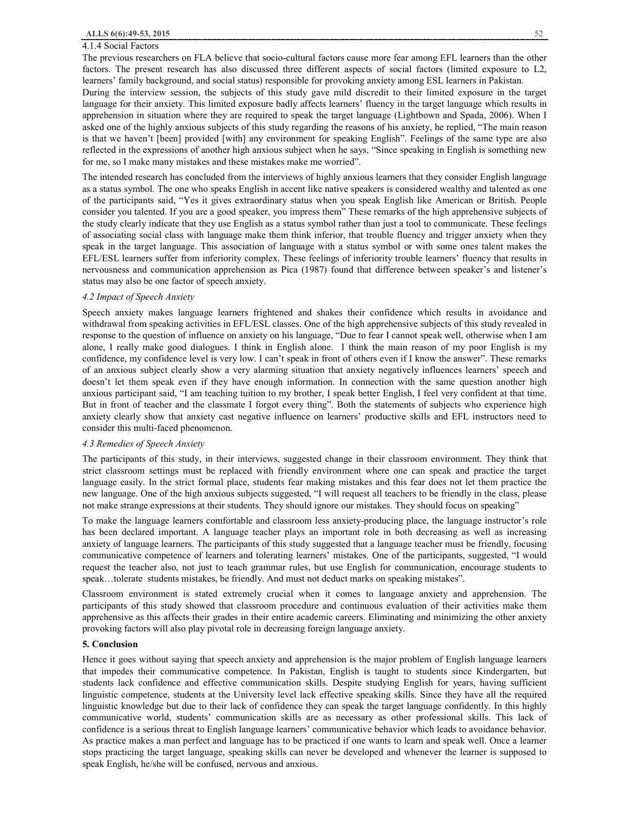## 4.1.4 Social Factors

The previous researchers on FLA believe that socio-cultural factors cause more fear among EFL learners than the other factors. The present research has also discussed three different aspects of social factors (limited exposure to L2, learners' family background, and social status) responsible for provoking anxiety among ESL learners in Pakistan.

During the interview session, the subjects of this study gave mild discredit to their limited exposure in the target language for their anxiety. This limited exposure badly affects learners' fluency in the target language which results in apprehension in situation where they are required to speak the target language (Lightbown and Spada, 2006). When I asked one of the highly anxious subjects of this study regarding the reasons of his anxiety, he replied, "The main reason is that we haven't [been] provided [with] any environment for speaking English". Feelings of the same type are also reflected in the expressions of another high anxious subject when he says, "Since speaking in English is something new for me, so I make many mistakes and these mistakes make me worried".

The intended research has concluded from the interviews of highly anxious learners that they consider English language as a status symbol. The one who speaks English in accent like native speakers is considered wealthy and talented as one of the participants said, "Yes it gives extraordinary status when you speak English like American or British. People consider you talented. If you are a good speaker, you impress them" These remarks of the high apprehensive subjects of the study clearly indicate that they use English as a status symbol rather than just a tool to communicate. These feelings of associating social class with language make them think inferior, that trouble fluency and trigger anxiety when they speak in the target language. This association of language with a status symbol or with some ones talent makes the EFL/ESL learners suffer from inferiority complex. These feelings of inferiority trouble learners' fluency that results in nervousness and communication apprehension as Pica (1987) found that difference between speaker's and listener's status may also be one factor of speech anxiety.

## *4.2 Impact of Speech Anxiety*

Speech anxiety makes language learners frightened and shakes their confidence which results in avoidance and withdrawal from speaking activities in EFL/ESL classes. One of the high apprehensive subjects of this study revealed in response to the question of influence on anxiety on his language, "Due to fear I cannot speak well, otherwise when I am alone, I really make good dialogues. I think in English alone. I think the main reason of my poor English is my confidence, my confidence level is very low. I can't speak in front of others even if I know the answer". These remarks of an anxious subject clearly show a very alarming situation that anxiety negatively influences learners' speech and doesn't let them speak even if they have enough information. In connection with the same question another high anxious participant said, "I am teaching tuition to my brother, I speak better English, I feel very confident at that time. But in front of teacher and the classmate I forgot every thing". Both the statements of subjects who experience high anxiety clearly show that anxiety cast negative influence on learners' productive skills and EFL instructors need to consider this multi-faced phenomenon.

#### *4.3 Remedies of Speech Anxiety*

The participants of this study, in their interviews, suggested change in their classroom environment. They think that strict classroom settings must be replaced with friendly environment where one can speak and practice the target language easily. In the strict formal place, students fear making mistakes and this fear does not let them practice the new language. One of the high anxious subjects suggested, "I will request all teachers to be friendly in the class, please not make strange expressions at their students. They should ignore our mistakes. They should focus on speaking"

To make the language learners comfortable and classroom less anxiety-producing place, the language instructor's role has been declared important. A language teacher plays an important role in both decreasing as well as increasing anxiety of language learners. The participants of this study suggested that a language teacher must be friendly, focusing communicative competence of learners and tolerating learners' mistakes. One of the participants, suggested, "I would request the teacher also, not just to teach grammar rules, but use English for communication, encourage students to speak…tolerate students mistakes, be friendly. And must not deduct marks on speaking mistakes".

Classroom environment is stated extremely crucial when it comes to language anxiety and apprehension. The participants of this study showed that classroom procedure and continuous evaluation of their activities make them apprehensive as this affects their grades in their entire academic careers. Eliminating and minimizing the other anxiety provoking factors will also play pivotal role in decreasing foreign language anxiety.

#### **5. Conclusion**

Hence it goes without saying that speech anxiety and apprehension is the major problem of English language learners that impedes their communicative competence. In Pakistan, English is taught to students since Kindergarten, but students lack confidence and effective communication skills. Despite studying English for years, having sufficient linguistic competence, students at the University level lack effective speaking skills. Since they have all the required linguistic knowledge but due to their lack of confidence they can speak the target language confidently. In this highly communicative world, students' communication skills are as necessary as other professional skills. This lack of confidence is a serious threat to English language learners' communicative behavior which leads to avoidance behavior. As practice makes a man perfect and language has to be practiced if one wants to learn and speak well. Once a learner stops practicing the target language, speaking skills can never be developed and whenever the learner is supposed to speak English, he/she will be confused, nervous and anxious.